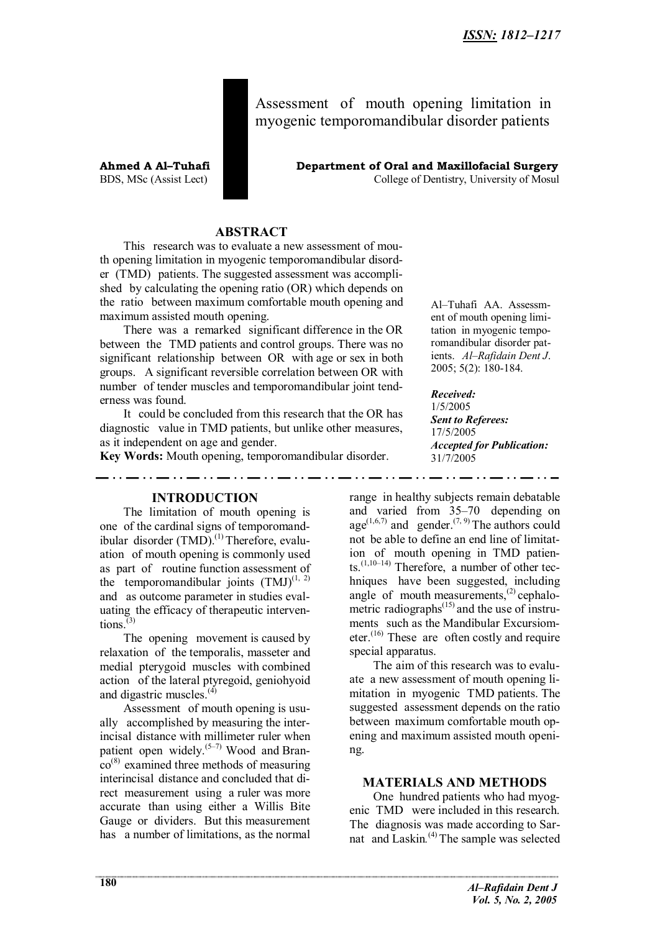Assessment of mouth opening limitation in myogenic temporomandibular disorder patients

**Ahmed A Al–Tuhafi Department of Oral and Maxillofacial Surgery** BDS, MSc (Assist Lect) College of Dentistry, University of Mosul

# **ABSTRACT**

This research was to evaluate a new assessment of mouth opening limitation in myogenic temporomandibular disorder (TMD) patients. The suggested assessment was accomplished by calculating the opening ratio (OR) which depends on the ratio between maximum comfortable mouth opening and maximum assisted mouth opening.

There was a remarked significant difference in the OR between the TMD patients and control groups. There was no significant relationship between OR with age or sex in both groups. A significant reversible correlation between OR with number of tender muscles and temporomandibular joint tenderness was found.

It could be concluded from this research that the OR has diagnostic value in TMD patients, but unlike other measures, as it independent on age and gender.

**Key Words:** Mouth opening, temporomandibular disorder.

Al–Tuhafi AA. Assessment of mouth opening limitation in myogenic temporomandibular disorder patients. *Al–Rafidain Dent J*. 2005; 5(2): 180-184.

*Received:* 1/5/2005 *Sent to Referees:* 17/5/2005 *Accepted for Publication:* 31/7/2005

. . . <u>. .</u> . . .

## **INTRODUCTION**

The limitation of mouth opening is one of the cardinal signs of temporomandibular disorder (TMD).<sup>(1)</sup> Therefore, evaluation of mouth opening is commonly used as part of routine function assessment of the temporomandibular joints  $(TMJ)^{(1, 2)}$ and as outcome parameter in studies evaluating the efficacy of therapeutic interventions. $(3)$ 

The opening movement is caused by relaxation of the temporalis, masseter and medial pterygoid muscles with combined action of the lateral ptyregoid, geniohyoid and digastric muscles.<sup>(4)</sup>

Assessment of mouth opening is usually accomplished by measuring the interincisal distance with millimeter ruler when patient open widely. $(5-7)$  Wood and Bran- $\cos^{(8)}$  examined three methods of measuring interincisal distance and concluded that direct measurement using a ruler was more accurate than using either a Willis Bite Gauge or dividers. But this measurement has a number of limitations, as the normal

range in healthy subjects remain debatable and varied from 35–70 depending on age<sup> $(1,6,7)$ </sup> and gender.<sup> $(7, 9)$ </sup> The authors could not be able to define an end line of limitation of mouth opening in TMD patients. $(1,10-14)$  Therefore, a number of other techniques have been suggested, including angle of mouth measurements,<sup>(2)</sup> cephalometric radiographs $^{(15)}$  and the use of instruments such as the Mandibular Excursiometer.<sup> $(16)$ </sup> These are often costly and require special apparatus.

The aim of this research was to evaluate a new assessment of mouth opening limitation in myogenic TMD patients. The suggested assessment depends on the ratio between maximum comfortable mouth opening and maximum assisted mouth opening.

## **MATERIALS AND METHODS**

One hundred patients who had myogenic TMD were included in this research. The diagnosis was made according to Sarnat and Laskin*.* (4) The sample was selected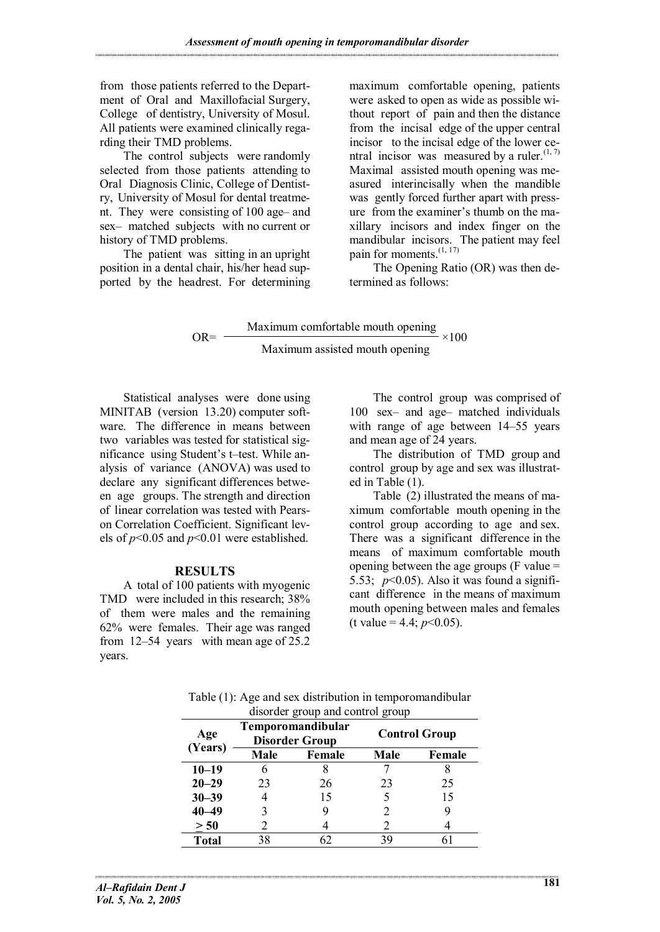from those patients referred to the Department of Oral and Maxillofacial Surgery, College of dentistry, University of Mosul. All patients were examined clinically regarding their TMD problems.

The control subjects were randomly selected from those patients attending to Oral Diagnosis Clinic, College of Dentistry, University of Mosul for dental treatment. They were consisting of 100 age– and sex– matched subjects with no current or history of TMD problems.

The patient was sitting in an upright position in a dental chair, his/her head supported by the headrest. For determining maximum comfortable opening, patients were asked to open as wide as possible without report of pain and then the distance from the incisal edge of the upper central incisor to the incisal edge of the lower central incisor was measured by a ruler. $(1, 7)$ Maximal assisted mouth opening was measured interincisally when the mandible was gently forced further apart with pressure from the examiner's thumb on the maxillary incisors and index finger on the mandibular incisors. The patient may feel pain for moments. $(1, 17)$ 

The Opening Ratio (OR) was then determined as follows:

Maximum comfortable mouth opening  $OR = \frac{1}{1} \times 100$ Maximum assisted mouth opening

Statistical analyses were done using MINITAB (version 13.20) computer software. The difference in means between two variables was tested for statistical significance using Student's t–test. While analysis of variance (ANOVA) was used to declare any significant differences between age groups. The strength and direction of linear correlation was tested with Pearson Correlation Coefficient. Significant levels of *p*<0.05 and *p*<0.01 were established.

# **RESULTS**

A total of 100 patients with myogenic TMD were included in this research; 38% of them were males and the remaining 62% were females. Their age was ranged from 12–54 years with mean age of 25.2 years.

The control group was comprised of 100 sex– and age– matched individuals with range of age between 14–55 years and mean age of 24 years.

The distribution of TMD group and control group by age and sex was illustrated in Table (1).

Table (2) illustrated the means of maximum comfortable mouth opening in the control group according to age and sex. There was a significant difference in the means of maximum comfortable mouth opening between the age groups (F value = 5.53;  $p<0.05$ ). Also it was found a significant difference in the means of maximum mouth opening between males and females (t value = 4.4;  $p<0.05$ ).

| Table (1): Age and sex distribution in temporomandibular |
|----------------------------------------------------------|
| disorder group and control group                         |

| Age<br>(Years) | <b>Temporomandibular</b><br><b>Disorder Group</b> |        | <b>Control Group</b> |        |
|----------------|---------------------------------------------------|--------|----------------------|--------|
|                | Male                                              | Female | <b>Male</b>          | Female |
| $10 - 19$      |                                                   |        |                      |        |
| $20 - 29$      | 23                                                | 26     | 23                   | 25     |
| $30 - 39$      |                                                   | 15     |                      | 15     |
| $40 - 49$      |                                                   |        | 2                    |        |
| > 50           |                                                   |        | 2                    |        |
| <b>Total</b>   | 38                                                |        | 39                   |        |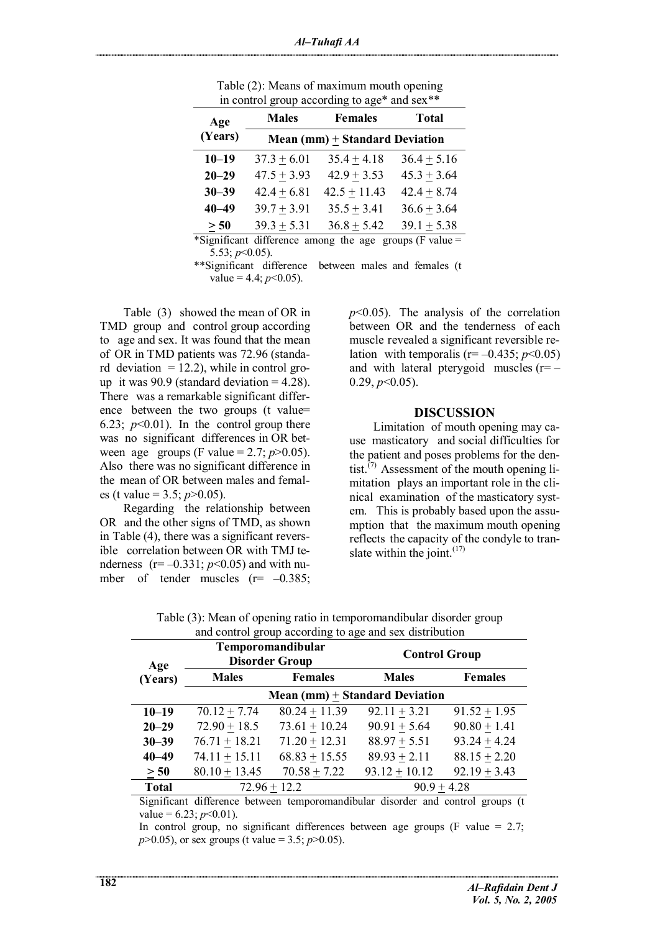| Age<br>(Years)                                                                             | <b>Males</b>                          | <b>Females</b> | <b>Total</b>    |  |
|--------------------------------------------------------------------------------------------|---------------------------------------|----------------|-----------------|--|
|                                                                                            | <b>Mean (mm) + Standard Deviation</b> |                |                 |  |
| $10 - 19$                                                                                  | $37.3 + 6.01$                         | $35.4 + 4.18$  | $36.4 + 5.16$   |  |
| $20 - 29$                                                                                  | $47.5 \pm 3.93$                       | $42.9 + 3.53$  | $45.3 + 3.64$   |  |
| $30 - 39$                                                                                  | $42.4 + 6.81$                         | $42.5 + 11.43$ | $42.4 + 8.74$   |  |
| $40 - 49$                                                                                  | $39.7 + 3.91$                         | $35.5 + 3.41$  | $36.6 \pm 3.64$ |  |
| > 50                                                                                       | $39.3 + 5.31$                         | $36.8 + 5.42$  | $39.1 + 5.38$   |  |
| *Significant difference among the age groups (F value $=$<br>$\Lambda$ $\Lambda$ $\Lambda$ |                                       |                |                 |  |

Table (2): Means of maximum mouth opening in control group according to age\* and sex\*\*

5.53; *p*<0.05). \*\*Significant difference between males and females (t value =  $4.4$ ;  $p<0.05$ ).

Table (3) showed the mean of OR in TMD group and control group according to age and sex. It was found that the mean of OR in TMD patients was 72.96 (standard deviation  $= 12.2$ ), while in control group it was  $90.9$  (standard deviation = 4.28). There was a remarkable significant difference between the two groups (t value= 6.23;  $p<0.01$ ). In the control group there was no significant differences in OR between age groups (F value = 2.7;  $p > 0.05$ ). Also there was no significant difference in the mean of OR between males and females (t value = 3.5; *p*>0.05).

Regarding the relationship between OR and the other signs of TMD, as shown in Table (4), there was a significant reversible correlation between OR with TMJ tenderness  $(r = -0.331; p < 0.05)$  and with number of tender muscles  $(r=-0.385)$ ;  $p$ <0.05). The analysis of the correlation between OR and the tenderness of each muscle revealed a significant reversible relation with temporalis  $(r=-0.435; p<0.05)$ and with lateral pterygoid muscles  $(r=-$ 0.29, *p*<0.05).

#### **DISCUSSION**

Limitation of mouth opening may cause masticatory and social difficulties for the patient and poses problems for the dentist.<sup> $(7)$ </sup> Assessment of the mouth opening limitation plays an important role in the clinical examination of the masticatory system. This is probably based upon the assumption that the maximum mouth opening reflects the capacity of the condyle to translate within the joint. $(17)$ 

| Age          | Temporomandibular<br><b>Disorder Group</b> |                 | <b>Control Group</b> |                  |  |
|--------------|--------------------------------------------|-----------------|----------------------|------------------|--|
| (Years)      | <b>Males</b>                               | <b>Females</b>  | <b>Males</b>         | <b>Females</b>   |  |
|              | Mean (mm) $\pm$ Standard Deviation         |                 |                      |                  |  |
| $10 - 19$    | $70.12 + 7.74$                             | $80.24 + 11.39$ | $92.11 + 3.21$       | $91.52 + 1.95$   |  |
| $20 - 29$    | $72.90 + 18.5$                             | $73.61 + 10.24$ | $90.91 + 5.64$       | $90.80 + 1.41$   |  |
| $30 - 39$    | $76.71 + 18.21$                            | $71.20 + 12.31$ | $88.97 + 5.51$       | $93.24 + 4.24$   |  |
| $40 - 49$    | $74.11 + 15.11$                            | $68.83 + 15.55$ | $89.93 + 2.11$       | $88.15 + 2.20$   |  |
| > 50         | $80.10 + 13.45$                            | $70.58 + 7.22$  | $93.12 + 10.12$      | $92.19 \pm 3.43$ |  |
| <b>Total</b> | $72.96 + 12.2$                             |                 | $90.9 + 4.28$        |                  |  |

Table (3): Mean of opening ratio in temporomandibular disorder group and control group according to age and sex distribution

Significant difference between temporomandibular disorder and control groups (t value =  $6.23$ ; *p*<0.01).

In control group, no significant differences between age groups (F value  $= 2.7$ ; *p*>0.05), or sex groups (t value = 3.5; *p*>0.05).

=================================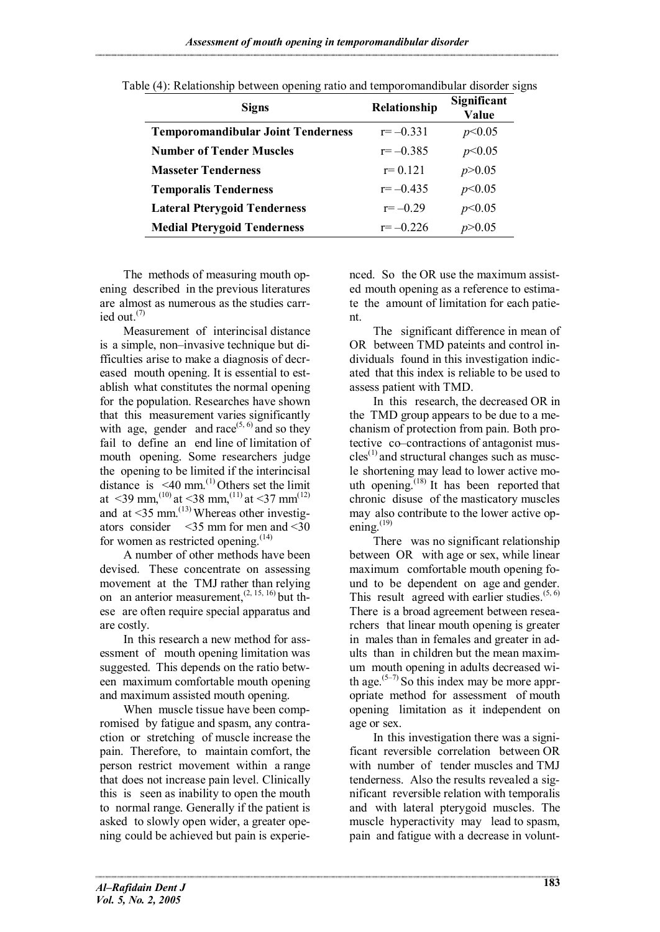*Assessment of mouth opening in temporomandibular disorder*

| <b>Signs</b>                              | Relationship | Significant<br>Value |
|-------------------------------------------|--------------|----------------------|
| <b>Temporomandibular Joint Tenderness</b> | $r = -0.331$ | p<0.05               |
| <b>Number of Tender Muscles</b>           | $r = -0.385$ | p<0.05               |
| <b>Masseter Tenderness</b>                | $r = 0.121$  | p > 0.05             |
| <b>Temporalis Tenderness</b>              | $r = -0.435$ | p<0.05               |
| <b>Lateral Pterygoid Tenderness</b>       | $r = -0.29$  | p<0.05               |
| <b>Medial Pterygoid Tenderness</b>        | $r = -0.226$ | p > 0.05             |

Table (4): Relationship between opening ratio and temporomandibular disorder signs

The methods of measuring mouth opening described in the previous literatures are almost as numerous as the studies carried out. $(7)$ 

Measurement of interincisal distance is a simple, non–invasive technique but difficulties arise to make a diagnosis of decreased mouth opening. It is essential to establish what constitutes the normal opening for the population. Researches have shown that this measurement varies significantly with age, gender and race $^{(5, 6)}$  and so they fail to define an end line of limitation of mouth opening. Some researchers judge the opening to be limited if the interincisal distance is <40 mm. $^{(1)}$  Others set the limit at  $\leq$ 39 mm,<sup>(10)</sup> at  $\leq$ 38 mm,<sup>(11)</sup> at  $\leq$ 37 mm<sup>(12)</sup> and at  $\leq 35$  mm.<sup>(13)</sup> Whereas other investigators consider <35 mm for men and <30 for women as restricted opening. $(14)$ 

A number of other methods have been devised. These concentrate on assessing movement at the TMJ rather than relying on an anterior measurement,  $(2, 15, 16)$  but these are often require special apparatus and are costly.

In this research a new method for assessment of mouth opening limitation was suggested. This depends on the ratio between maximum comfortable mouth opening and maximum assisted mouth opening.

When muscle tissue have been compromised by fatigue and spasm, any contraction or stretching of muscle increase the pain. Therefore, to maintain comfort, the person restrict movement within a range that does not increase pain level. Clinically this is seen as inability to open the mouth to normal range. Generally if the patient is asked to slowly open wider, a greater opening could be achieved but pain is experienced. So the OR use the maximum assisted mouth opening as a reference to estimate the amount of limitation for each patient.

The significant difference in mean of OR between TMD pateints and control individuals found in this investigation indicated that this index is reliable to be used to assess patient with TMD.

In this research, the decreased OR in the TMD group appears to be due to a mechanism of protection from pain. Both protective co–contractions of antagonist mus $cles<sup>(1)</sup>$  and structural changes such as muscle shortening may lead to lower active mouth opening.<sup> $(18)$ </sup> It has been reported that chronic disuse of the masticatory muscles may also contribute to the lower active opening. $^{(19)}$ 

There was no significant relationship between OR with age or sex, while linear maximum comfortable mouth opening found to be dependent on age and gender. This result agreed with earlier studies. $(5, 6)$ There is a broad agreement between researchers that linear mouth opening is greater in males than in females and greater in adults than in children but the mean maximum mouth opening in adults decreased with age.<sup> $(5-7)$ </sup> So this index may be more appropriate method for assessment of mouth opening limitation as it independent on age or sex.

In this investigation there was a significant reversible correlation between OR with number of tender muscles and TMJ tenderness. Also the results revealed a significant reversible relation with temporalis and with lateral pterygoid muscles. The muscle hyperactivity may lead to spasm, pain and fatigue with a decrease in volunt